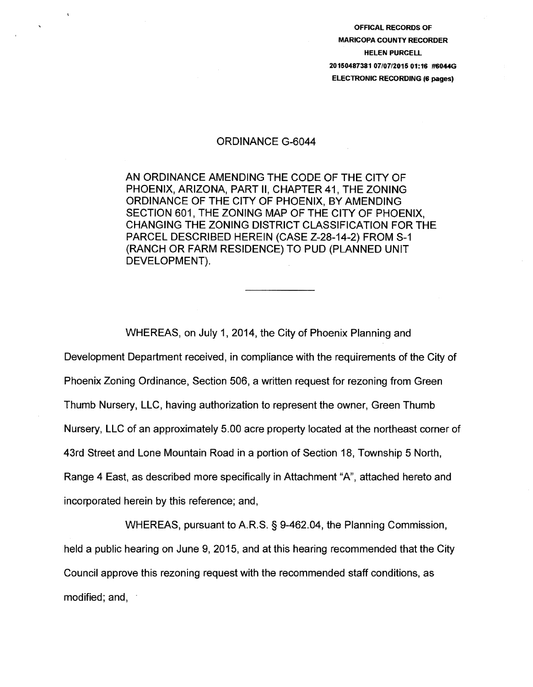OFFICAL RECORDS OF MARICOPA COUNTY RECORDER HELEN PURCELL 20150487381 07/07/2015 01:16 #6044G ELECTRONIC RECORDING (6 pages)

## ORDINANCE G-6044

 $\Lambda$ 

AN ORDINANCE AMENDING THE CODE OF THE CITY OF PHOENIX, ARIZONA, PART II, CHAPTER 41, THE ZONING ORDINANCE OF THE CITY OF PHOENIX, BY AMENDING SECTION 601, THE ZONING MAP OF THE CITY OF PHOENIX, CHANGING THE ZONING DISTRICT CLASSIFICATION FOR THE PARCEL DESCRIBED HEREIN (CASE Z-28-14-2) FROM S-1 (RANCH OR FARM RESIDENCE) TO PUD (PLANNED UNIT DEVELOPMENT).

Development Department received, in compliance with the requirements of the City of Phoenix Zoning Ordinance, Section 506, a written request for rezoning from Green Thumb Nursery, LLC, having authorization to represent the owner, Green Thumb Nursery, LLC of an approximately 5.00 acre property located at the northeast corner of 43rd Street and Lone Mountain Road in a portion of Section 18, Township 5 North, Range 4 East, as described more specifically in Attachment "A", attached hereto and incorporated herein by this reference; and,

WHEREAS, on July 1, 2014, the City of Phoenix Planning and

WHEREAS, pursuant to A.R.S. § 9-462.04, the Planning Commission, held a public hearing on June 9, 2015, and at this hearing recommended that the City Council approve this rezoning request with the recommended staff conditions, as modified; and,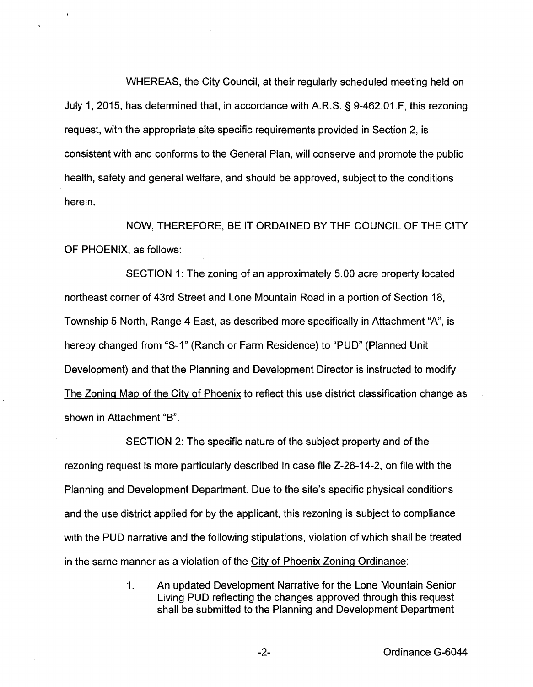WHEREAS, the City Council, at their regularly scheduled meeting held on July 1, 2015, has determined that, in accordance with A.R.S. § 9-462.01.F, this rezoning request, with the appropriate site specific requirements provided in Section 2, is consistent with and conforms to the General Plan, will conserve and promote the public health, safety and general welfare, and should be approved, subject to the conditions herein.

NOW, THEREFORE, BE IT ORDAINED BY THE COUNCIL OF THE CITY OF PHOENIX, as follows:

SECTION 1: The zoning of an approximately 5.00 acre property located northeast corner of 43rd Street and Lone Mountain Road in a portion of Section 18, Township 5 North, Range 4 East, as described more specifically in Attachment "A", is hereby changed from "S-1" (Ranch or Farm Residence) to "PUD" (Planned Unit Development) and that the Planning and Development Director is instructed to modify The Zoning Map of the City of Phoenix to reflect this use district classification change as shown in Attachment "B".

SECTION 2: The specific nature of the subject property and of the rezoning request is more particularly described in case file Z-28-14-2, on file with the Planning and Development Department. Due to the site's specific physical conditions and the use district applied for by the applicant, this rezoning is subject to compliance with the PUD narrative and the following stipulations, violation of which shall be treated in the same manner as a violation of the City of Phoenix Zoning Ordinance:

> 1. An updated Development Narrative for the Lone Mountain Senior Living PUD reflecting the changes approved through this request shall be submitted to the Planning and Development Department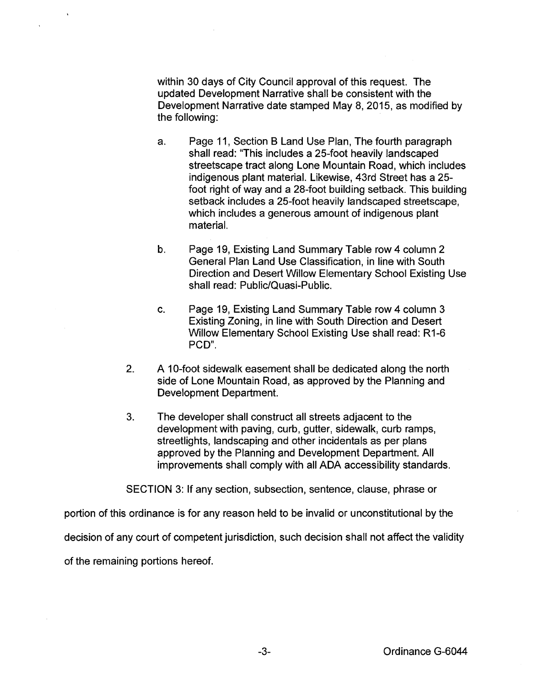within 30 days of City Council approval of this request. The updated Development Narrative shall be consistent with the Development Narrative date stamped May 8, 2015, as modified by the following:

- a. Page 11, Section 8 Land Use Plan, The fourth paragraph shall read: "This includes a 25-foot heavily landscaped streetscape tract along Lone Mountain Road, which includes indigenous plant material. Likewise, 43rd Street has a 25 foot right of way and a 28-foot building setback. This building setback includes a 25-foot heavily landscaped streetscape, which includes a generous amount of indigenous plant material.
- b. Page 19, Existing Land Summary Table row 4 column 2 General Plan Land Use Classification, in line with South Direction and Desert Willow Elementary School Existing Use shall read: Public/Quasi-Public.
- c. Page 19, Existing Land Summary Table row 4 column 3 Existing Zoning, in line with South Direction and Desert Willow Elementary School Existing Use shall read: R1-6 PCD".
- 2. A 10-foot sidewalk easement shall be dedicated along the north side of Lone Mountain Road, as approved by the Planning and Development Department.
- 3. The developer shall construct all streets adjacent to the development with paving, curb, gutter, sidewalk, curb ramps, streetlights, landscaping and other incidentals as per plans approved by the Planning and Development Department. All improvements shall comply with all ADA accessibility standards.

SECTION 3: If any section, subsection, sentence, clause, phrase or

portion of this ordinance is for any reason held to be invalid or unconstitutional by the

decision of any court of competent jurisdiction, such decision shall not affect the validity

of the remaining portions hereof.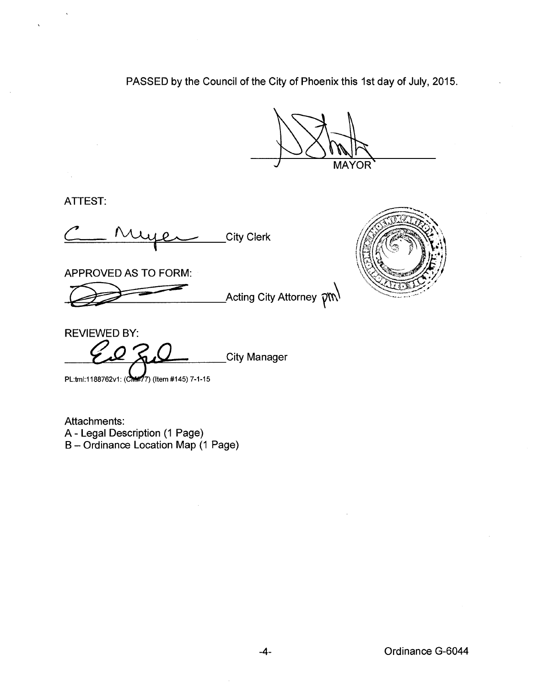PASSED by the Council of the City of Phoenix this 1st day of July, 2015.

**MAYOR** 

ATTEST:

City Clerk

APPROVED AS TO FORM:

\_Acting City Attorney  $\widehat{\mathcal{V}}^{\text{NN}}$ 



REVIEWED BY: **City Manager** 

PL:tml:1188762v1: (CM#77) (Item #145) 7-1-15

Attachments: A- Legal Description (1 Page) B- Ordinance Location Map (1 Page)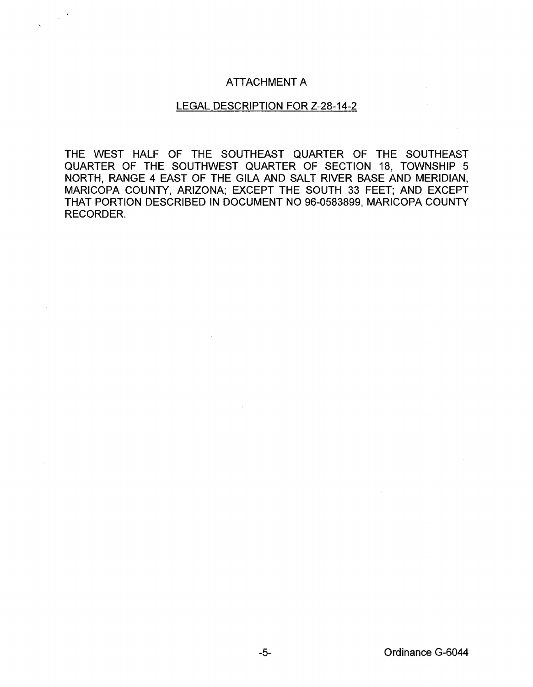## ATTACHMENT A

 $\sim$   $^{\prime}$ 

## LEGAL DESCRIPTION FOR Z-28-14-2

THE WEST HALF OF THE SOUTHEAST QUARTER OF THE SOUTHEAST QUARTER OF THE SOUTHWEST QUARTER OF SECTION 18, TOWNSHIP 5 NORTH, RANGE 4 EAST OF THE GILA AND SALT RIVER BASE AND MERIDIAN, MARICOPA COUNTY, ARIZONA; EXCEPT THE SOUTH 33 FEET; AND EXCEPT THAT PORTION DESCRIBED IN DOCUMENT NO 96-0583899, MARICOPA COUNTY RECORDER.